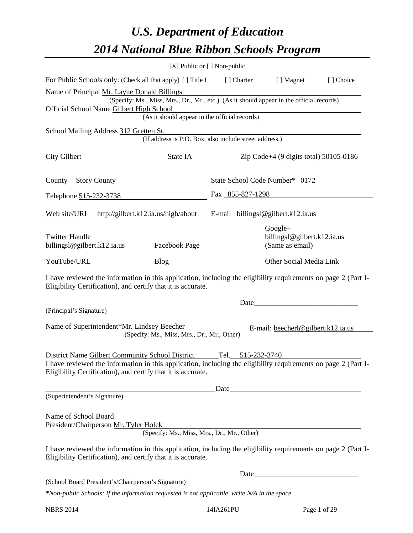# *U.S. Department of Education 2014 National Blue Ribbon Schools Program*

|                                                                                                                                                                                                                                                     |                                                                                                                                           | $[X]$ Public or $[ ]$ Non-public                                                                                       |                                          |           |
|-----------------------------------------------------------------------------------------------------------------------------------------------------------------------------------------------------------------------------------------------------|-------------------------------------------------------------------------------------------------------------------------------------------|------------------------------------------------------------------------------------------------------------------------|------------------------------------------|-----------|
| For Public Schools only: (Check all that apply) [] Title I [] Charter [] Magnet                                                                                                                                                                     |                                                                                                                                           |                                                                                                                        |                                          | [] Choice |
| Name of Principal Mr. Layne Donald Billings<br>Official School Name Gilbert High School                                                                                                                                                             | (Specify: Ms., Miss, Mrs., Dr., Mr., etc.) (As it should appear in the official records)<br>(As it should appear in the official records) | <u> 1989 - Johann Stoff, deutscher Stoffen und der Stoffen und der Stoffen und der Stoffen und der Stoffen und der</u> |                                          |           |
|                                                                                                                                                                                                                                                     |                                                                                                                                           |                                                                                                                        |                                          |           |
| School Mailing Address 312 Gretten St.                                                                                                                                                                                                              | (If address is P.O. Box, also include street address.)                                                                                    |                                                                                                                        |                                          |           |
| City Gilbert State IA Zip Code+4 (9 digits total) 50105-0186                                                                                                                                                                                        |                                                                                                                                           |                                                                                                                        |                                          |           |
| County Story County County State School Code Number* 0172                                                                                                                                                                                           |                                                                                                                                           |                                                                                                                        |                                          |           |
| Telephone 515-232-3738 Fax 855-827-1298                                                                                                                                                                                                             |                                                                                                                                           |                                                                                                                        |                                          |           |
| Web site/URL http://gilbert.k12.ia.us/high/about E-mail billingsl@gilbert.k12.ia.us                                                                                                                                                                 |                                                                                                                                           |                                                                                                                        |                                          |           |
| <b>Twitter Handle</b><br>billingsl@gilbert.k12.ia.us Facebook Page (Same as email)                                                                                                                                                                  |                                                                                                                                           |                                                                                                                        | $Google+$<br>billings1@gilbert.k12.ia.us |           |
| YouTube/URL Blog Blog Other Social Media Link                                                                                                                                                                                                       |                                                                                                                                           |                                                                                                                        |                                          |           |
| I have reviewed the information in this application, including the eligibility requirements on page 2 (Part I-<br>Eligibility Certification), and certify that it is accurate.                                                                      |                                                                                                                                           |                                                                                                                        |                                          |           |
| (Principal's Signature)                                                                                                                                                                                                                             |                                                                                                                                           |                                                                                                                        |                                          |           |
| Name of Superintendent*Mr. Lindsey Beecher                                                                                                                                                                                                          | (Specify: Ms., Miss, Mrs., Dr., Mr., Other)                                                                                               |                                                                                                                        | E-mail: beecherl@gilbert.k12.ia.us       |           |
| District Name Gilbert Community School District Tel. 515-232-3740<br>I have reviewed the information in this application, including the eligibility requirements on page 2 (Part I-<br>Eligibility Certification), and certify that it is accurate. |                                                                                                                                           |                                                                                                                        |                                          |           |
| (Superintendent's Signature)                                                                                                                                                                                                                        |                                                                                                                                           |                                                                                                                        |                                          |           |
| Name of School Board<br>President/Chairperson Mr. Tyler Holck                                                                                                                                                                                       | (Specify: Ms., Miss, Mrs., Dr., Mr., Other)                                                                                               |                                                                                                                        |                                          |           |
| I have reviewed the information in this application, including the eligibility requirements on page 2 (Part I-<br>Eligibility Certification), and certify that it is accurate.                                                                      |                                                                                                                                           |                                                                                                                        |                                          |           |
|                                                                                                                                                                                                                                                     |                                                                                                                                           |                                                                                                                        |                                          |           |
| (School Board President's/Chairperson's Signature)                                                                                                                                                                                                  |                                                                                                                                           |                                                                                                                        |                                          |           |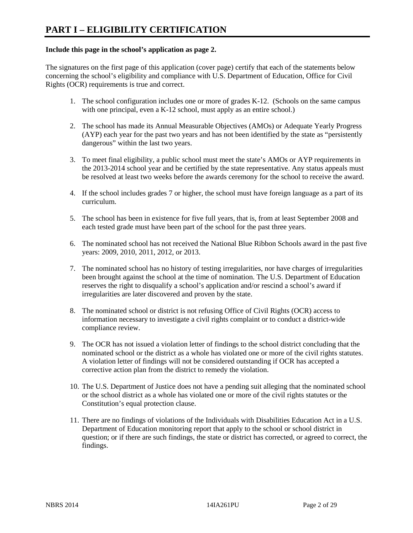#### **Include this page in the school's application as page 2.**

The signatures on the first page of this application (cover page) certify that each of the statements below concerning the school's eligibility and compliance with U.S. Department of Education, Office for Civil Rights (OCR) requirements is true and correct.

- 1. The school configuration includes one or more of grades K-12. (Schools on the same campus with one principal, even a K-12 school, must apply as an entire school.)
- 2. The school has made its Annual Measurable Objectives (AMOs) or Adequate Yearly Progress (AYP) each year for the past two years and has not been identified by the state as "persistently dangerous" within the last two years.
- 3. To meet final eligibility, a public school must meet the state's AMOs or AYP requirements in the 2013-2014 school year and be certified by the state representative. Any status appeals must be resolved at least two weeks before the awards ceremony for the school to receive the award.
- 4. If the school includes grades 7 or higher, the school must have foreign language as a part of its curriculum.
- 5. The school has been in existence for five full years, that is, from at least September 2008 and each tested grade must have been part of the school for the past three years.
- 6. The nominated school has not received the National Blue Ribbon Schools award in the past five years: 2009, 2010, 2011, 2012, or 2013.
- 7. The nominated school has no history of testing irregularities, nor have charges of irregularities been brought against the school at the time of nomination. The U.S. Department of Education reserves the right to disqualify a school's application and/or rescind a school's award if irregularities are later discovered and proven by the state.
- 8. The nominated school or district is not refusing Office of Civil Rights (OCR) access to information necessary to investigate a civil rights complaint or to conduct a district-wide compliance review.
- 9. The OCR has not issued a violation letter of findings to the school district concluding that the nominated school or the district as a whole has violated one or more of the civil rights statutes. A violation letter of findings will not be considered outstanding if OCR has accepted a corrective action plan from the district to remedy the violation.
- 10. The U.S. Department of Justice does not have a pending suit alleging that the nominated school or the school district as a whole has violated one or more of the civil rights statutes or the Constitution's equal protection clause.
- 11. There are no findings of violations of the Individuals with Disabilities Education Act in a U.S. Department of Education monitoring report that apply to the school or school district in question; or if there are such findings, the state or district has corrected, or agreed to correct, the findings.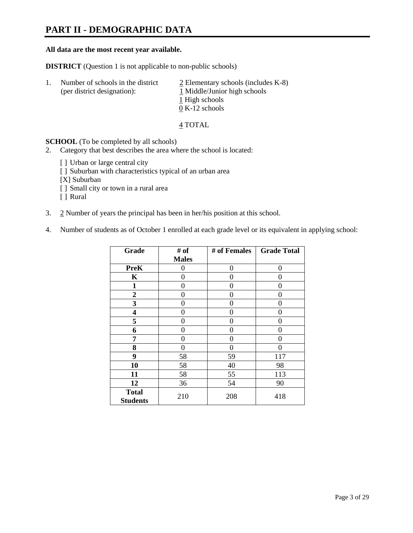### **PART II - DEMOGRAPHIC DATA**

#### **All data are the most recent year available.**

**DISTRICT** (Question 1 is not applicable to non-public schools)

| -1. | Number of schools in the district<br>(per district designation): | $\angle$ Elementary schools (includes K-8)<br>1 Middle/Junior high schools |  |
|-----|------------------------------------------------------------------|----------------------------------------------------------------------------|--|
|     |                                                                  | 1 High schools                                                             |  |
|     |                                                                  | $0 K-12$ schools                                                           |  |

4 TOTAL

**SCHOOL** (To be completed by all schools)

- 2. Category that best describes the area where the school is located:
	- [] Urban or large central city
	- [ ] Suburban with characteristics typical of an urban area
	- [X] Suburban
	- [ ] Small city or town in a rural area
	- [ ] Rural
- 3. 2 Number of years the principal has been in her/his position at this school.
- 4. Number of students as of October 1 enrolled at each grade level or its equivalent in applying school:

| Grade                           | # of         | # of Females | <b>Grade Total</b> |
|---------------------------------|--------------|--------------|--------------------|
|                                 | <b>Males</b> |              |                    |
| <b>PreK</b>                     | 0            | 0            | 0                  |
| K                               | 0            | 0            | 0                  |
| $\mathbf{1}$                    | 0            | 0            | 0                  |
| $\overline{2}$                  | 0            | 0            | 0                  |
| 3                               | 0            | 0            | 0                  |
| 4                               | 0            | 0            | 0                  |
| 5                               | 0            | 0            | 0                  |
| 6                               | 0            | 0            | 0                  |
| 7                               | 0            | 0            | 0                  |
| 8                               | 0            | 0            | 0                  |
| 9                               | 58           | 59           | 117                |
| 10                              | 58           | 40           | 98                 |
| 11                              | 58           | 55           | 113                |
| 12                              | 36           | 54           | 90                 |
| <b>Total</b><br><b>Students</b> | 210          | 208          | 418                |
|                                 |              |              |                    |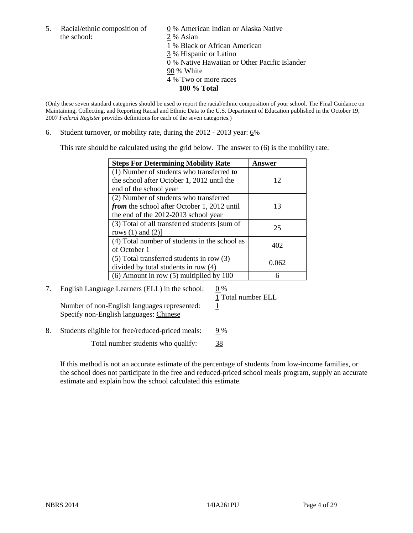5. Racial/ethnic composition of  $\qquad \qquad \underline{0}$  % American Indian or Alaska Native the school: 2 % Asian

 1 % Black or African American 3 % Hispanic or Latino

0 % Native Hawaiian or Other Pacific Islander

90 % White

- 4 % Two or more races
	- **100 % Total**

(Only these seven standard categories should be used to report the racial/ethnic composition of your school. The Final Guidance on Maintaining, Collecting, and Reporting Racial and Ethnic Data to the U.S. Department of Education published in the October 19, 2007 *Federal Register* provides definitions for each of the seven categories.)

6. Student turnover, or mobility rate, during the  $2012 - 2013$  year:  $6\%$ 

This rate should be calculated using the grid below. The answer to (6) is the mobility rate.

| <b>Steps For Determining Mobility Rate</b>         | <b>Answer</b> |
|----------------------------------------------------|---------------|
| (1) Number of students who transferred to          |               |
| the school after October 1, 2012 until the         | 12            |
| end of the school year                             |               |
| (2) Number of students who transferred             |               |
| <i>from</i> the school after October 1, 2012 until | 13            |
| the end of the 2012-2013 school year               |               |
| (3) Total of all transferred students [sum of      | 25            |
| rows $(1)$ and $(2)$ ]                             |               |
| (4) Total number of students in the school as      | 402           |
| of October 1                                       |               |
| $(5)$ Total transferred students in row $(3)$      | 0.062         |
| divided by total students in row (4)               |               |
| $(6)$ Amount in row $(5)$ multiplied by 100        |               |

7. English Language Learners (ELL) in the school:  $0\%$ 

1 Total number ELL

Number of non-English languages represented:  $1$ Specify non-English languages: Chinese

8. Students eligible for free/reduced-priced meals: 9%

Total number students who qualify: 38

If this method is not an accurate estimate of the percentage of students from low-income families, or the school does not participate in the free and reduced-priced school meals program, supply an accurate estimate and explain how the school calculated this estimate.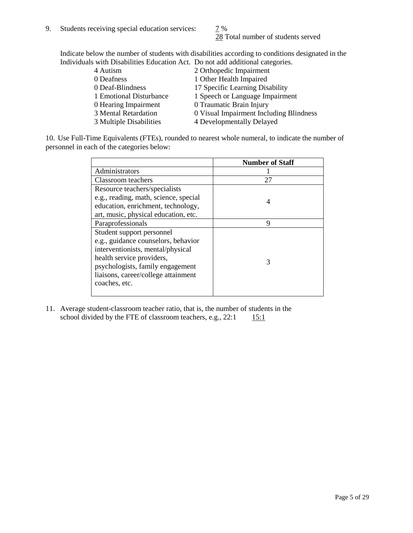28 Total number of students served

Indicate below the number of students with disabilities according to conditions designated in the Individuals with Disabilities Education Act. Do not add additional categories.

| 4 Autism                | 2 Orthopedic Impairment                 |
|-------------------------|-----------------------------------------|
| 0 Deafness              | 1 Other Health Impaired                 |
| 0 Deaf-Blindness        | 17 Specific Learning Disability         |
| 1 Emotional Disturbance | 1 Speech or Language Impairment         |
| 0 Hearing Impairment    | 0 Traumatic Brain Injury                |
| 3 Mental Retardation    | 0 Visual Impairment Including Blindness |
| 3 Multiple Disabilities | 4 Developmentally Delayed               |
|                         |                                         |

10. Use Full-Time Equivalents (FTEs), rounded to nearest whole numeral, to indicate the number of personnel in each of the categories below:

|                                       | <b>Number of Staff</b> |
|---------------------------------------|------------------------|
| Administrators                        |                        |
| Classroom teachers                    | 27                     |
| Resource teachers/specialists         |                        |
| e.g., reading, math, science, special | 4                      |
| education, enrichment, technology,    |                        |
| art, music, physical education, etc.  |                        |
| Paraprofessionals                     | 9                      |
| Student support personnel             |                        |
| e.g., guidance counselors, behavior   |                        |
| interventionists, mental/physical     |                        |
| health service providers,             | 3                      |
| psychologists, family engagement      |                        |
| liaisons, career/college attainment   |                        |
| coaches, etc.                         |                        |
|                                       |                        |

11. Average student-classroom teacher ratio, that is, the number of students in the school divided by the FTE of classroom teachers, e.g.,  $22:1$  15:1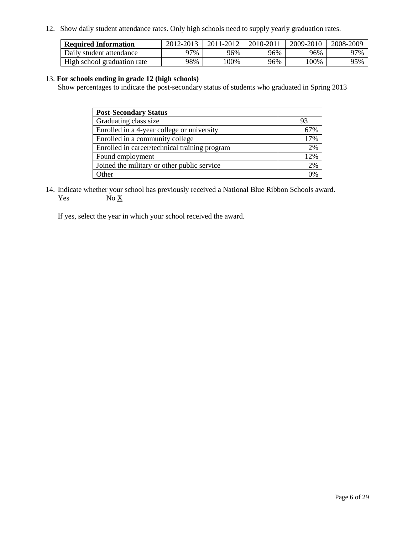12. Show daily student attendance rates. Only high schools need to supply yearly graduation rates.

| <b>Required Information</b> | 2012-2013 | 2011-2012 | 2010-2011 | 2009-2010 | 2008-2009 |
|-----------------------------|-----------|-----------|-----------|-----------|-----------|
| Daily student attendance    | 77%       | 96%       | 96%       | 96%       | 97%       |
| High school graduation rate | 98%       | 00%       | 96%       | 00%       | 95%       |

#### 13. **For schools ending in grade 12 (high schools)**

Show percentages to indicate the post-secondary status of students who graduated in Spring 2013

| <b>Post-Secondary Status</b>                  |     |
|-----------------------------------------------|-----|
| Graduating class size                         | 93  |
| Enrolled in a 4-year college or university    | 67% |
| Enrolled in a community college               | 17% |
| Enrolled in career/technical training program | 2%  |
| Found employment                              | 12% |
| Joined the military or other public service   | 2%  |
| <b>Other</b>                                  | 0%  |

14. Indicate whether your school has previously received a National Blue Ribbon Schools award. Yes  $No \underline{X}$ 

If yes, select the year in which your school received the award.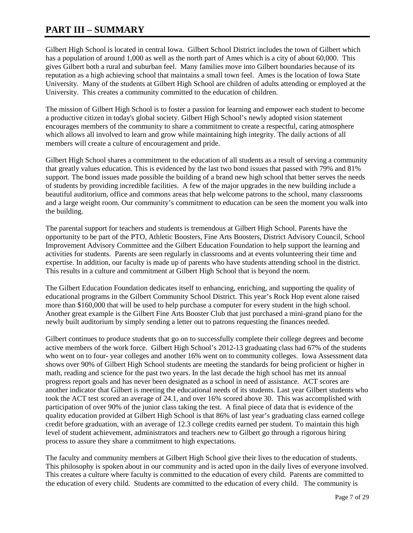#### **PART III – SUMMARY**

Gilbert High School is located in central Iowa. Gilbert School District includes the town of Gilbert which has a population of around 1,000 as well as the north part of Ames which is a city of about 60,000. This gives Gilbert both a rural and suburban feel. Many families move into Gilbert boundaries because of its reputation as a high achieving school that maintains a small town feel. Ames is the location of Iowa State University. Many of the students at Gilbert High School are children of adults attending or employed at the University. This creates a community committed to the education of children.

The mission of Gilbert High School is to foster a passion for learning and empower each student to become a productive citizen in today's global society. Gilbert High School's newly adopted vision statement encourages members of the community to share a commitment to create a respectful, caring atmosphere which allows all involved to learn and grow while maintaining high integrity. The daily actions of all members will create a culture of encouragement and pride.

Gilbert High School shares a commitment to the education of all students as a result of serving a community that greatly values education. This is evidenced by the last two bond issues that passed with 79% and 81% support. The bond issues made possible the building of a brand new high school that better serves the needs of students by providing incredible facilities. A few of the major upgrades in the new building include a beautiful auditorium, office and commons areas that help welcome patrons to the school, many classrooms and a large weight room. Our community's commitment to education can be seen the moment you walk into the building.

The parental support for teachers and students is tremendous at Gilbert High School. Parents have the opportunity to be part of the PTO, Athletic Boosters, Fine Arts Boosters, District Advisory Council, School Improvement Advisory Committee and the Gilbert Education Foundation to help support the learning and activities for students. Parents are seen regularly in classrooms and at events volunteering their time and expertise. In addition, our faculty is made up of parents who have students attending school in the district. This results in a culture and commitment at Gilbert High School that is beyond the norm.

The Gilbert Education Foundation dedicates itself to enhancing, enriching, and supporting the quality of educational programs in the Gilbert Community School District. This year's Rock Hop event alone raised more than \$160,000 that will be used to help purchase a computer for every student in the high school. Another great example is the Gilbert Fine Arts Booster Club that just purchased a mini-grand piano for the newly built auditorium by simply sending a letter out to patrons requesting the finances needed.

Gilbert continues to produce students that go on to successfully complete their college degrees and become active members of the work force. Gilbert High School's 2012-13 graduating class had 67% of the students who went on to four- year colleges and another 16% went on to community colleges. Iowa Assessment data shows over 90% of Gilbert High School students are meeting the standards for being proficient or higher in math, reading and science for the past two years. In the last decade the high school has met its annual progress report goals and has never been designated as a school in need of assistance. ACT scores are another indicator that Gilbert is meeting the educational needs of its students. Last year Gilbert students who took the ACT test scored an average of 24.1, and over 16% scored above 30. This was accomplished with participation of over 90% of the junior class taking the test. A final piece of data that is evidence of the quality education provided at Gilbert High School is that 86% of last year's graduating class earned college credit before graduation, with an average of 12.3 college credits earned per student. To maintain this high level of student achievement, administrators and teachers new to Gilbert go through a rigorous hiring process to assure they share a commitment to high expectations.

The faculty and community members at Gilbert High School give their lives to the education of students. This philosophy is spoken about in our community and is acted upon in the daily lives of everyone involved. This creates a culture where faculty is committed to the education of every child. Parents are committed to the education of every child. Students are committed to the education of every child. The community is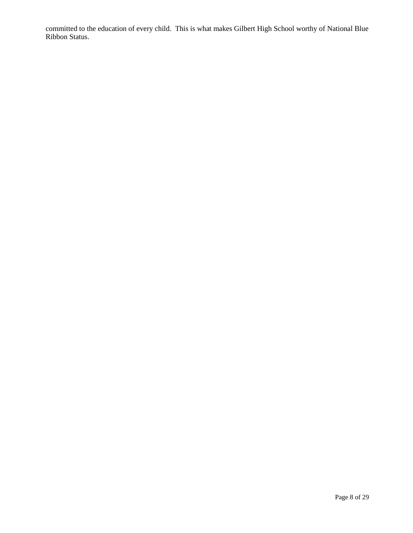committed to the education of every child. This is what makes Gilbert High School worthy of National Blue Ribbon Status.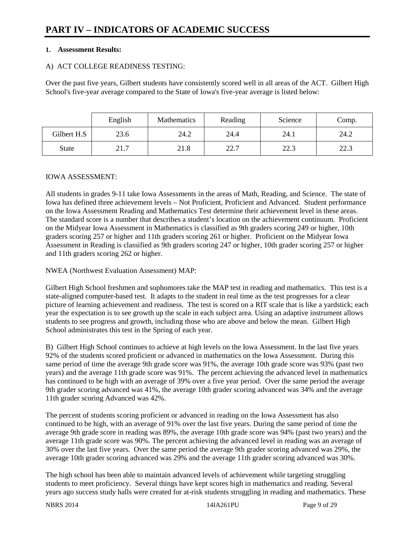#### **1. Assessment Results:**

#### A) ACT COLLEGE READINESS TESTING:

Over the past five years, Gilbert students have consistently scored well in all areas of the ACT. Gilbert High School's five-year average compared to the State of Iowa's five-year average is listed below:

|              | English | <b>Mathematics</b> | Reading | Science | Comp. |
|--------------|---------|--------------------|---------|---------|-------|
| Gilbert H.S  | 23.6    | 24.2               | 24.4    | 24.1    | 24.2  |
| <b>State</b> | 21.7    | 21.8               | 22.7    | 22.3    | 22.3  |

#### IOWA ASSESSMENT:

All students in grades 9-11 take Iowa Assessments in the areas of Math, Reading, and Science. The state of Iowa has defined three achievement levels – Not Proficient, Proficient and Advanced. Student performance on the Iowa Assessment Reading and Mathematics Test determine their achievement level in these areas. The standard score is a number that describes a student's location on the achievement continuum. Proficient on the Midyear Iowa Assessment in Mathematics is classified as 9th graders scoring 249 or higher, 10th graders scoring 257 or higher and 11th graders scoring 261 or higher. Proficient on the Midyear Iowa Assessment in Reading is classified as 9th graders scoring 247 or higher, 10th grader scoring 257 or higher and 11th graders scoring 262 or higher.

NWEA (Northwest Evaluation Assessment) MAP:

Gilbert High School freshmen and sophomores take the MAP test in reading and mathematics. This test is a state-aligned computer-based test. It adapts to the student in real time as the test progresses for a clear picture of learning achievement and readiness. The test is scored on a RIT scale that is like a yardstick; each year the expectation is to see growth up the scale in each subject area. Using an adaptive instrument allows students to see progress and growth, including those who are above and below the mean. Gilbert High School administrates this test in the Spring of each year.

B) Gilbert High School continues to achieve at high levels on the Iowa Assessment. In the last five years 92% of the students scored proficient or advanced in mathematics on the Iowa Assessment. During this same period of time the average 9th grade score was 91%, the average 10th grade score was 93% (past two years) and the average 11th grade score was 91%. The percent achieving the advanced level in mathematics has continued to be high with an average of 39% over a five year period. Over the same period the average 9th grader scoring advanced was 41%, the average 10th grader scoring advanced was 34% and the average 11th grader scoring Advanced was 42%.

The percent of students scoring proficient or advanced in reading on the Iowa Assessment has also continued to be high, with an average of 91% over the last five years. During the same period of time the average 9th grade score in reading was 89%, the average 10th grade score was 94% (past two years) and the average 11th grade score was 90%. The percent achieving the advanced level in reading was an average of 30% over the last five years. Over the same period the average 9th grader scoring advanced was 29%, the average 10th grader scoring advanced was 29% and the average 11th grader scoring advanced was 30%.

The high school has been able to maintain advanced levels of achievement while targeting struggling students to meet proficiency. Several things have kept scores high in mathematics and reading. Several years ago success study halls were created for at-risk students struggling in reading and mathematics. These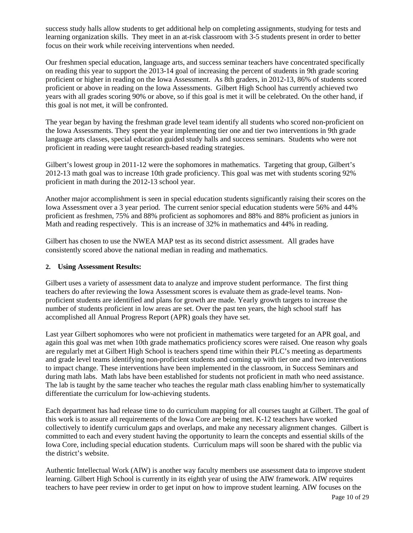success study halls allow students to get additional help on completing assignments, studying for tests and learning organization skills. They meet in an at-risk classroom with 3-5 students present in order to better focus on their work while receiving interventions when needed.

Our freshmen special education, language arts, and success seminar teachers have concentrated specifically on reading this year to support the 2013-14 goal of increasing the percent of students in 9th grade scoring proficient or higher in reading on the Iowa Assessment. As 8th graders, in 2012-13, 86% of students scored proficient or above in reading on the Iowa Assessments. Gilbert High School has currently achieved two years with all grades scoring 90% or above, so if this goal is met it will be celebrated. On the other hand, if this goal is not met, it will be confronted.

The year began by having the freshman grade level team identify all students who scored non-proficient on the Iowa Assessments. They spent the year implementing tier one and tier two interventions in 9th grade language arts classes, special education guided study halls and success seminars. Students who were not proficient in reading were taught research-based reading strategies.

Gilbert's lowest group in 2011-12 were the sophomores in mathematics. Targeting that group, Gilbert's 2012-13 math goal was to increase 10th grade proficiency. This goal was met with students scoring 92% proficient in math during the 2012-13 school year.

Another major accomplishment is seen in special education students significantly raising their scores on the Iowa Assessment over a 3 year period. The current senior special education students were 56% and 44% proficient as freshmen, 75% and 88% proficient as sophomores and 88% and 88% proficient as juniors in Math and reading respectively. This is an increase of 32% in mathematics and 44% in reading.

Gilbert has chosen to use the NWEA MAP test as its second district assessment. All grades have consistently scored above the national median in reading and mathematics.

#### **2. Using Assessment Results:**

Gilbert uses a variety of assessment data to analyze and improve student performance. The first thing teachers do after reviewing the Iowa Assessment scores is evaluate them as grade-level teams. Nonproficient students are identified and plans for growth are made. Yearly growth targets to increase the number of students proficient in low areas are set. Over the past ten years, the high school staff has accomplished all Annual Progress Report (APR) goals they have set.

Last year Gilbert sophomores who were not proficient in mathematics were targeted for an APR goal, and again this goal was met when 10th grade mathematics proficiency scores were raised. One reason why goals are regularly met at Gilbert High School is teachers spend time within their PLC's meeting as departments and grade level teams identifying non-proficient students and coming up with tier one and two interventions to impact change. These interventions have been implemented in the classroom, in Success Seminars and during math labs. Math labs have been established for students not proficient in math who need assistance. The lab is taught by the same teacher who teaches the regular math class enabling him/her to systematically differentiate the curriculum for low-achieving students.

Each department has had release time to do curriculum mapping for all courses taught at Gilbert. The goal of this work is to assure all requirements of the Iowa Core are being met. K-12 teachers have worked collectively to identify curriculum gaps and overlaps, and make any necessary alignment changes. Gilbert is committed to each and every student having the opportunity to learn the concepts and essential skills of the Iowa Core, including special education students. Curriculum maps will soon be shared with the public via the district's website.

Authentic Intellectual Work (AIW) is another way faculty members use assessment data to improve student learning. Gilbert High School is currently in its eighth year of using the AIW framework. AIW requires teachers to have peer review in order to get input on how to improve student learning. AIW focuses on the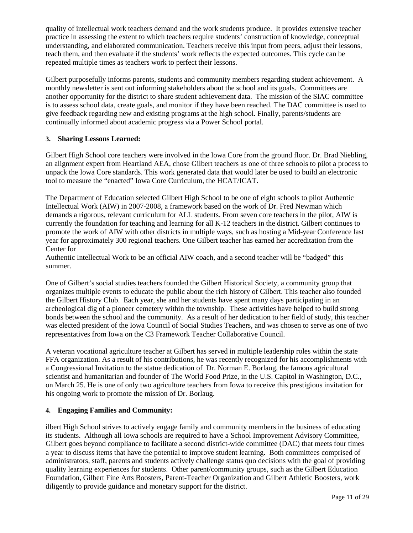quality of intellectual work teachers demand and the work students produce. It provides extensive teacher practice in assessing the extent to which teachers require students' construction of knowledge, conceptual understanding, and elaborated communication. Teachers receive this input from peers, adjust their lessons, teach them, and then evaluate if the students' work reflects the expected outcomes. This cycle can be repeated multiple times as teachers work to perfect their lessons.

Gilbert purposefully informs parents, students and community members regarding student achievement. A monthly newsletter is sent out informing stakeholders about the school and its goals. Committees are another opportunity for the district to share student achievement data. The mission of the SIAC committee is to assess school data, create goals, and monitor if they have been reached. The DAC committee is used to give feedback regarding new and existing programs at the high school. Finally, parents/students are continually informed about academic progress via a Power School portal.

#### **3. Sharing Lessons Learned:**

Gilbert High School core teachers were involved in the Iowa Core from the ground floor. Dr. Brad Niebling, an alignment expert from Heartland AEA, chose Gilbert teachers as one of three schools to pilot a process to unpack the Iowa Core standards. This work generated data that would later be used to build an electronic tool to measure the "enacted" Iowa Core Curriculum, the HCAT/ICAT.

The Department of Education selected Gilbert High School to be one of eight schools to pilot Authentic Intellectual Work (AIW) in 2007-2008, a framework based on the work of Dr. Fred Newman which demands a rigorous, relevant curriculum for ALL students. From seven core teachers in the pilot, AIW is currently the foundation for teaching and learning for all K-12 teachers in the district. Gilbert continues to promote the work of AIW with other districts in multiple ways, such as hosting a Mid-year Conference last year for approximately 300 regional teachers. One Gilbert teacher has earned her accreditation from the Center for

Authentic Intellectual Work to be an official AIW coach, and a second teacher will be "badged" this summer.

One of Gilbert's social studies teachers founded the Gilbert Historical Society, a community group that organizes multiple events to educate the public about the rich history of Gilbert. This teacher also founded the Gilbert History Club. Each year, she and her students have spent many days participating in an archeological dig of a pioneer cemetery within the township. These activities have helped to build strong bonds between the school and the community. As a result of her dedication to her field of study, this teacher was elected president of the Iowa Council of Social Studies Teachers, and was chosen to serve as one of two representatives from Iowa on the C3 Framework Teacher Collaborative Council.

A veteran vocational agriculture teacher at Gilbert has served in multiple leadership roles within the state FFA organization. As a result of his contributions, he was recently recognized for his accomplishments with a Congressional Invitation to the statue dedication of Dr. Norman E. Borlaug, the famous agricultural scientist and humanitarian and founder of The World Food Prize, in the U.S. Capitol in Washington, D.C., on March 25. He is one of only two agriculture teachers from Iowa to receive this prestigious invitation for his ongoing work to promote the mission of Dr. Borlaug.

#### **4. Engaging Families and Community:**

ilbert High School strives to actively engage family and community members in the business of educating its students. Although all Iowa schools are required to have a School Improvement Advisory Committee, Gilbert goes beyond compliance to facilitate a second district-wide committee (DAC) that meets four times a year to discuss items that have the potential to improve student learning. Both committees comprised of administrators, staff, parents and students actively challenge status quo decisions with the goal of providing quality learning experiences for students. Other parent/community groups, such as the Gilbert Education Foundation, Gilbert Fine Arts Boosters, Parent-Teacher Organization and Gilbert Athletic Boosters, work diligently to provide guidance and monetary support for the district.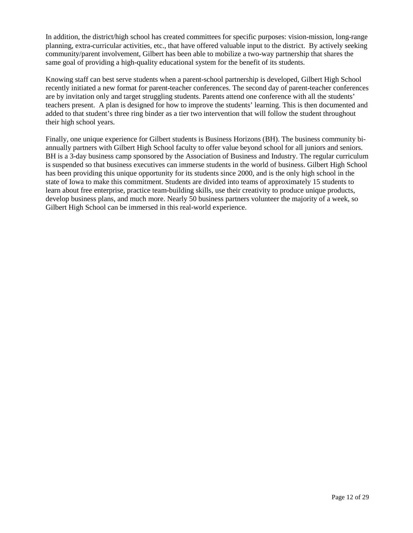In addition, the district/high school has created committees for specific purposes: vision-mission, long-range planning, extra-curricular activities, etc., that have offered valuable input to the district. By actively seeking community/parent involvement, Gilbert has been able to mobilize a two-way partnership that shares the same goal of providing a high-quality educational system for the benefit of its students.

Knowing staff can best serve students when a parent-school partnership is developed, Gilbert High School recently initiated a new format for parent-teacher conferences. The second day of parent-teacher conferences are by invitation only and target struggling students. Parents attend one conference with all the students' teachers present. A plan is designed for how to improve the students' learning. This is then documented and added to that student's three ring binder as a tier two intervention that will follow the student throughout their high school years.

Finally, one unique experience for Gilbert students is Business Horizons (BH). The business community biannually partners with Gilbert High School faculty to offer value beyond school for all juniors and seniors. BH is a 3-day business camp sponsored by the Association of Business and Industry. The regular curriculum is suspended so that business executives can immerse students in the world of business. Gilbert High School has been providing this unique opportunity for its students since 2000, and is the only high school in the state of Iowa to make this commitment. Students are divided into teams of approximately 15 students to learn about free enterprise, practice team-building skills, use their creativity to produce unique products, develop business plans, and much more. Nearly 50 business partners volunteer the majority of a week, so Gilbert High School can be immersed in this real-world experience.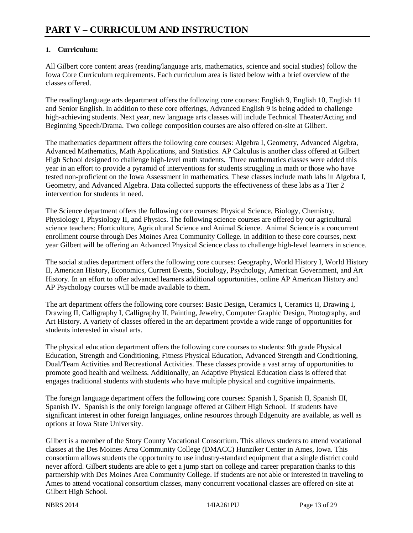#### **1. Curriculum:**

All Gilbert core content areas (reading/language arts, mathematics, science and social studies) follow the Iowa Core Curriculum requirements. Each curriculum area is listed below with a brief overview of the classes offered.

The reading/language arts department offers the following core courses: English 9, English 10, English 11 and Senior English. In addition to these core offerings, Advanced English 9 is being added to challenge high-achieving students. Next year, new language arts classes will include Technical Theater/Acting and Beginning Speech/Drama. Two college composition courses are also offered on-site at Gilbert.

The mathematics department offers the following core courses: Algebra I, Geometry, Advanced Algebra, Advanced Mathematics, Math Applications, and Statistics. AP Calculus is another class offered at Gilbert High School designed to challenge high-level math students. Three mathematics classes were added this year in an effort to provide a pyramid of interventions for students struggling in math or those who have tested non-proficient on the Iowa Assessment in mathematics. These classes include math labs in Algebra I, Geometry, and Advanced Algebra. Data collected supports the effectiveness of these labs as a Tier 2 intervention for students in need.

The Science department offers the following core courses: Physical Science, Biology, Chemistry, Physiology I, Physiology II, and Physics. The following science courses are offered by our agricultural science teachers: Horticulture, Agricultural Science and Animal Science. Animal Science is a concurrent enrollment course through Des Moines Area Community College. In addition to these core courses, next year Gilbert will be offering an Advanced Physical Science class to challenge high-level learners in science.

The social studies department offers the following core courses: Geography, World History I, World History II, American History, Economics, Current Events, Sociology, Psychology, American Government, and Art History. In an effort to offer advanced learners additional opportunities, online AP American History and AP Psychology courses will be made available to them.

The art department offers the following core courses: Basic Design, Ceramics I, Ceramics II, Drawing I, Drawing II, Calligraphy I, Calligraphy II, Painting, Jewelry, Computer Graphic Design, Photography, and Art History. A variety of classes offered in the art department provide a wide range of opportunities for students interested in visual arts.

The physical education department offers the following core courses to students: 9th grade Physical Education, Strength and Conditioning, Fitness Physical Education, Advanced Strength and Conditioning, Dual/Team Activities and Recreational Activities. These classes provide a vast array of opportunities to promote good health and wellness. Additionally, an Adaptive Physical Education class is offered that engages traditional students with students who have multiple physical and cognitive impairments.

The foreign language department offers the following core courses: Spanish I, Spanish II, Spanish III, Spanish IV. Spanish is the only foreign language offered at Gilbert High School. If students have significant interest in other foreign languages, online resources through Edgenuity are available, as well as options at Iowa State University.

Gilbert is a member of the Story County Vocational Consortium. This allows students to attend vocational classes at the Des Moines Area Community College (DMACC) Hunziker Center in Ames, Iowa. This consortium allows students the opportunity to use industry-standard equipment that a single district could never afford. Gilbert students are able to get a jump start on college and career preparation thanks to this partnership with Des Moines Area Community College. If students are not able or interested in traveling to Ames to attend vocational consortium classes, many concurrent vocational classes are offered on-site at Gilbert High School.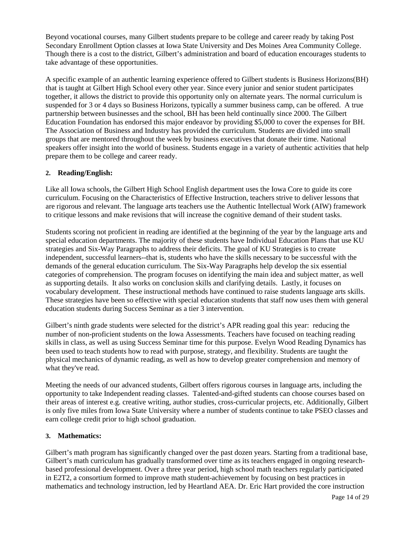Beyond vocational courses, many Gilbert students prepare to be college and career ready by taking Post Secondary Enrollment Option classes at Iowa State University and Des Moines Area Community College. Though there is a cost to the district, Gilbert's administration and board of education encourages students to take advantage of these opportunities.

A specific example of an authentic learning experience offered to Gilbert students is Business Horizons(BH) that is taught at Gilbert High School every other year. Since every junior and senior student participates together, it allows the district to provide this opportunity only on alternate years. The normal curriculum is suspended for 3 or 4 days so Business Horizons, typically a summer business camp, can be offered. A true partnership between businesses and the school, BH has been held continually since 2000. The Gilbert Education Foundation has endorsed this major endeavor by providing \$5,000 to cover the expenses for BH. The Association of Business and Industry has provided the curriculum. Students are divided into small groups that are mentored throughout the week by business executives that donate their time. National speakers offer insight into the world of business. Students engage in a variety of authentic activities that help prepare them to be college and career ready.

#### **2. Reading/English:**

Like all Iowa schools, the Gilbert High School English department uses the Iowa Core to guide its core curriculum. Focusing on the Characteristics of Effective Instruction, teachers strive to deliver lessons that are rigorous and relevant. The language arts teachers use the Authentic Intellectual Work (AIW) framework to critique lessons and make revisions that will increase the cognitive demand of their student tasks.

Students scoring not proficient in reading are identified at the beginning of the year by the language arts and special education departments. The majority of these students have Individual Education Plans that use KU strategies and Six-Way Paragraphs to address their deficits. The goal of KU Strategies is to create independent, successful learners--that is, students who have the skills necessary to be successful with the demands of the general education curriculum. The Six-Way Paragraphs help develop the six essential categories of comprehension. The program focuses on identifying the main idea and subject matter, as well as supporting details. It also works on conclusion skills and clarifying details. Lastly, it focuses on vocabulary development. These instructional methods have continued to raise students language arts skills. These strategies have been so effective with special education students that staff now uses them with general education students during Success Seminar as a tier 3 intervention.

Gilbert's ninth grade students were selected for the district's APR reading goal this year: reducing the number of non-proficient students on the Iowa Assessments. Teachers have focused on teaching reading skills in class, as well as using Success Seminar time for this purpose. Evelyn Wood Reading Dynamics has been used to teach students how to read with purpose, strategy, and flexibility. Students are taught the physical mechanics of dynamic reading, as well as how to develop greater comprehension and memory of what they've read.

Meeting the needs of our advanced students, Gilbert offers rigorous courses in language arts, including the opportunity to take Independent reading classes. Talented-and-gifted students can choose courses based on their areas of interest e.g. creative writing, author studies, cross-curricular projects, etc. Additionally, Gilbert is only five miles from Iowa State University where a number of students continue to take PSEO classes and earn college credit prior to high school graduation.

#### **3. Mathematics:**

Gilbert's math program has significantly changed over the past dozen years. Starting from a traditional base, Gilbert's math curriculum has gradually transformed over time as its teachers engaged in ongoing researchbased professional development. Over a three year period, high school math teachers regularly participated in E2T2, a consortium formed to improve math student-achievement by focusing on best practices in mathematics and technology instruction, led by Heartland AEA. Dr. Eric Hart provided the core instruction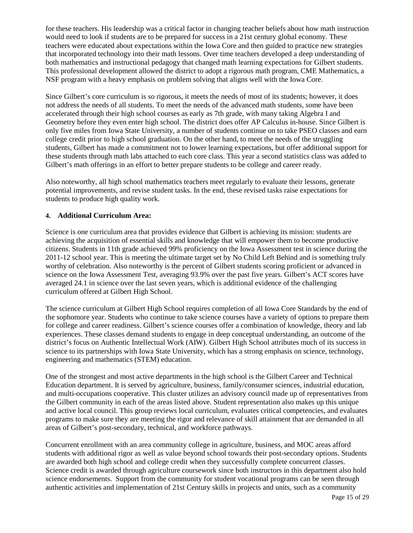for these teachers. His leadership was a critical factor in changing teacher beliefs about how math instruction would need to look if students are to be prepared for success in a 21st century global economy. These teachers were educated about expectations within the Iowa Core and then guided to practice new strategies that incorporated technology into their math lessons. Over time teachers developed a deep understanding of both mathematics and instructional pedagogy that changed math learning expectations for Gilbert students. This professional development allowed the district to adopt a rigorous math program, CME Mathematics, a NSF program with a heavy emphasis on problem solving that aligns well with the Iowa Core.

Since Gilbert's core curriculum is so rigorous, it meets the needs of most of its students; however, it does not address the needs of all students. To meet the needs of the advanced math students, some have been accelerated through their high school courses as early as 7th grade, with many taking Algebra I and Geometry before they even enter high school. The district does offer AP Calculus in-house. Since Gilbert is only five miles from Iowa State University, a number of students continue on to take PSEO classes and earn college credit prior to high school graduation. On the other hand, to meet the needs of the struggling students, Gilbert has made a commitment not to lower learning expectations, but offer additional support for these students through math labs attached to each core class. This year a second statistics class was added to Gilbert's math offerings in an effort to better prepare students to be college and career ready.

Also noteworthy, all high school mathematics teachers meet regularly to evaluate their lessons, generate potential improvements, and revise student tasks. In the end, these revised tasks raise expectations for students to produce high quality work.

#### **4. Additional Curriculum Area:**

Science is one curriculum area that provides evidence that Gilbert is achieving its mission: students are achieving the acquisition of essential skills and knowledge that will empower them to become productive citizens. Students in 11th grade achieved 99% proficiency on the Iowa Assessment test in science during the 2011-12 school year. This is meeting the ultimate target set by No Child Left Behind and is something truly worthy of celebration. Also noteworthy is the percent of Gilbert students scoring proficient or advanced in science on the Iowa Assessment Test, averaging 93.9% over the past five years. Gilbert's ACT scores have averaged 24.1 in science over the last seven years, which is additional evidence of the challenging curriculum offered at Gilbert High School.

The science curriculum at Gilbert High School requires completion of all Iowa Core Standards by the end of the sophomore year. Students who continue to take science courses have a variety of options to prepare them for college and career readiness. Gilbert's science courses offer a combination of knowledge, theory and lab experiences. These classes demand students to engage in deep conceptual understanding, an outcome of the district's focus on Authentic Intellectual Work (AIW). Gilbert High School attributes much of its success in science to its partnerships with Iowa State University, which has a strong emphasis on science, technology, engineering and mathematics (STEM) education.

One of the strongest and most active departments in the high school is the Gilbert Career and Technical Education department. It is served by agriculture, business, family/consumer sciences, industrial education, and multi-occupations cooperative. This cluster utilizes an advisory council made up of representatives from the Gilbert community in each of the areas listed above. Student representation also makes up this unique and active local council. This group reviews local curriculum, evaluates critical competencies, and evaluates programs to make sure they are meeting the rigor and relevance of skill attainment that are demanded in all areas of Gilbert's post-secondary, technical, and workforce pathways.

Concurrent enrollment with an area community college in agriculture, business, and MOC areas afford students with additional rigor as well as value beyond school towards their post-secondary options. Students are awarded both high school and college credit when they successfully complete concurrent classes. Science credit is awarded through agriculture coursework since both instructors in this department also hold science endorsements. Support from the community for student vocational programs can be seen through authentic activities and implementation of 21st Century skills in projects and units, such as a community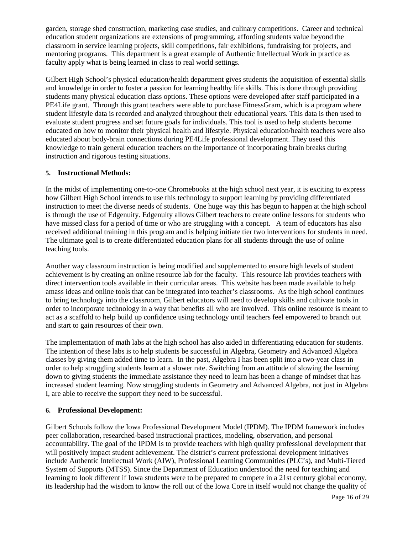garden, storage shed construction, marketing case studies, and culinary competitions. Career and technical education student organizations are extensions of programming, affording students value beyond the classroom in service learning projects, skill competitions, fair exhibitions, fundraising for projects, and mentoring programs. This department is a great example of Authentic Intellectual Work in practice as faculty apply what is being learned in class to real world settings.

Gilbert High School's physical education/health department gives students the acquisition of essential skills and knowledge in order to foster a passion for learning healthy life skills. This is done through providing students many physical education class options. These options were developed after staff participated in a PE4Life grant. Through this grant teachers were able to purchase FitnessGram, which is a program where student lifestyle data is recorded and analyzed throughout their educational years. This data is then used to evaluate student progress and set future goals for individuals. This tool is used to help students become educated on how to monitor their physical health and lifestyle. Physical education/health teachers were also educated about body-brain connections during PE4Life professional development. They used this knowledge to train general education teachers on the importance of incorporating brain breaks during instruction and rigorous testing situations.

#### **5. Instructional Methods:**

In the midst of implementing one-to-one Chromebooks at the high school next year, it is exciting to express how Gilbert High School intends to use this technology to support learning by providing differentiated instruction to meet the diverse needs of students. One huge way this has begun to happen at the high school is through the use of Edgenuity. Edgenuity allows Gilbert teachers to create online lessons for students who have missed class for a period of time or who are struggling with a concept. A team of educators has also received additional training in this program and is helping initiate tier two interventions for students in need. The ultimate goal is to create differentiated education plans for all students through the use of online teaching tools.

Another way classroom instruction is being modified and supplemented to ensure high levels of student achievement is by creating an online resource lab for the faculty. This resource lab provides teachers with direct intervention tools available in their curricular areas. This website has been made available to help amass ideas and online tools that can be integrated into teacher's classrooms. As the high school continues to bring technology into the classroom, Gilbert educators will need to develop skills and cultivate tools in order to incorporate technology in a way that benefits all who are involved. This online resource is meant to act as a scaffold to help build up confidence using technology until teachers feel empowered to branch out and start to gain resources of their own.

The implementation of math labs at the high school has also aided in differentiating education for students. The intention of these labs is to help students be successful in Algebra, Geometry and Advanced Algebra classes by giving them added time to learn. In the past, Algebra I has been split into a two-year class in order to help struggling students learn at a slower rate. Switching from an attitude of slowing the learning down to giving students the immediate assistance they need to learn has been a change of mindset that has increased student learning. Now struggling students in Geometry and Advanced Algebra, not just in Algebra I, are able to receive the support they need to be successful.

#### **6. Professional Development:**

Gilbert Schools follow the Iowa Professional Development Model (IPDM). The IPDM framework includes peer collaboration, researched-based instructional practices, modeling, observation, and personal accountability. The goal of the IPDM is to provide teachers with high quality professional development that will positively impact student achievement. The district's current professional development initiatives include Authentic Intellectual Work (AIW), Professional Learning Communities (PLC's), and Multi-Tiered System of Supports (MTSS). Since the Department of Education understood the need for teaching and learning to look different if Iowa students were to be prepared to compete in a 21st century global economy, its leadership had the wisdom to know the roll out of the Iowa Core in itself would not change the quality of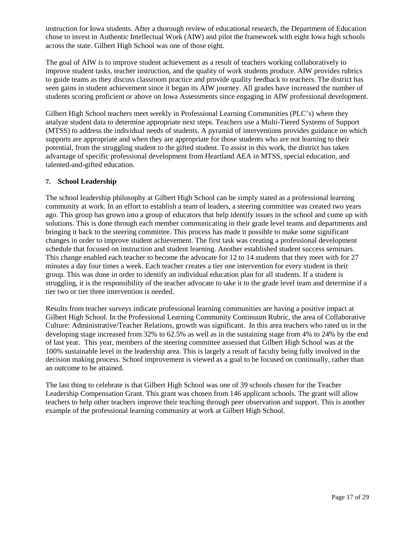instruction for Iowa students. After a thorough review of educational research, the Department of Education chose to invest in Authentic Intellectual Work (AIW) and pilot the framework with eight Iowa high schools across the state. Gilbert High School was one of those eight.

The goal of AIW is to improve student achievement as a result of teachers working collaboratively to improve student tasks, teacher instruction, and the quality of work students produce. AIW provides rubrics to guide teams as they discuss classroom practice and provide quality feedback to teachers. The district has seen gains in student achievement since it began its AIW journey. All grades have increased the number of students scoring proficient or above on Iowa Assessments since engaging in AIW professional development.

Gilbert High School teachers meet weekly in Professional Learning Communities (PLC's) where they analyze student data to determine appropriate next steps. Teachers use a Multi-Tiered Systems of Support (MTSS) to address the individual needs of students. A pyramid of interventions provides guidance on which supports are appropriate and when they are appropriate for those students who are not learning to their potential, from the struggling student to the gifted student. To assist in this work, the district has taken advantage of specific professional development from Heartland AEA in MTSS, special education, and talented-and-gifted education.

#### **7. School Leadership**

The school leadership philosophy at Gilbert High School can be simply stated as a professional learning community at work. In an effort to establish a team of leaders, a steering committee was created two years ago. This group has grown into a group of educators that help identify issues in the school and come up with solutions. This is done through each member communicating in their grade level teams and departments and bringing it back to the steering committee. This process has made it possible to make some significant changes in order to improve student achievement. The first task was creating a professional development schedule that focused on instruction and student learning. Another established student success seminars. This change enabled each teacher to become the advocate for 12 to 14 students that they meet with for 27 minutes a day four times a week. Each teacher creates a tier one intervention for every student in their group. This was done in order to identify an individual education plan for all students. If a student is struggling, it is the responsibility of the teacher advocate to take it to the grade level team and determine if a tier two or tier three intervention is needed.

Results from teacher surveys indicate professional learning communities are having a positive impact at Gilbert High School. In the Professional Learning Community Continuum Rubric, the area of Collaborative Culture: Administrative/Teacher Relations, growth was significant. In this area teachers who rated us in the developing stage increased from 32% to 62.5% as well as in the sustaining stage from 4% to 24% by the end of last year. This year, members of the steering committee assessed that Gilbert High School was at the 100% sustainable level in the leadership area. This is largely a result of faculty being fully involved in the decision making process. School improvement is viewed as a goal to be focused on continually, rather than an outcome to be attained.

The last thing to celebrate is that Gilbert High School was one of 39 schools chosen for the Teacher Leadership Compensation Grant. This grant was chosen from 146 applicant schools. The grant will allow teachers to help other teachers improve their teaching through peer observation and support. This is another example of the professional learning community at work at Gilbert High School.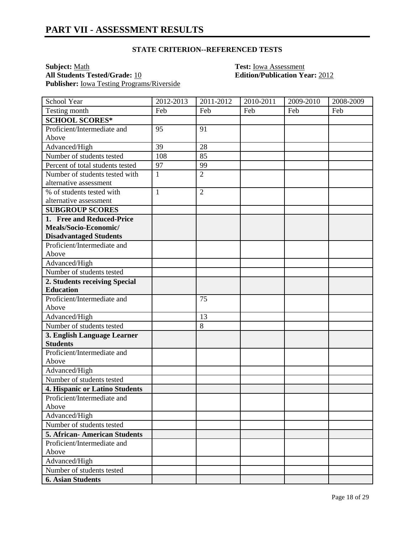#### **STATE CRITERION--REFERENCED TESTS**

**Subject:** <u>Math</u><br> **All Students Tested/Grade:** <u>10</u> **Test: Iowa Assessment**<br> **Calition/Publication Ye Publisher:** Iowa Testing Programs/Riverside

**All Students Tested/Grade:** 10 **Edition/Publication Year:** 2012

| School Year                                                                                                                                                                                                                                                                                                                                                                                                                                                                                                                                                                                             | 2012-2013    | 2011-2012      | 2010-2011 | 2009-2010 | 2008-2009 |
|---------------------------------------------------------------------------------------------------------------------------------------------------------------------------------------------------------------------------------------------------------------------------------------------------------------------------------------------------------------------------------------------------------------------------------------------------------------------------------------------------------------------------------------------------------------------------------------------------------|--------------|----------------|-----------|-----------|-----------|
| Testing month                                                                                                                                                                                                                                                                                                                                                                                                                                                                                                                                                                                           | Feb          | Feb            | Feb       | Feb       | Feb       |
| <b>SCHOOL SCORES*</b>                                                                                                                                                                                                                                                                                                                                                                                                                                                                                                                                                                                   |              |                |           |           |           |
| Proficient/Intermediate and                                                                                                                                                                                                                                                                                                                                                                                                                                                                                                                                                                             | 95           | 91             |           |           |           |
| Above                                                                                                                                                                                                                                                                                                                                                                                                                                                                                                                                                                                                   |              |                |           |           |           |
| Advanced/High                                                                                                                                                                                                                                                                                                                                                                                                                                                                                                                                                                                           | 39           | 28             |           |           |           |
| Number of students tested                                                                                                                                                                                                                                                                                                                                                                                                                                                                                                                                                                               | 108          | 85             |           |           |           |
| Percent of total students tested                                                                                                                                                                                                                                                                                                                                                                                                                                                                                                                                                                        | 97           | 99             |           |           |           |
| Number of students tested with                                                                                                                                                                                                                                                                                                                                                                                                                                                                                                                                                                          | $\mathbf{1}$ | $\overline{2}$ |           |           |           |
| alternative assessment                                                                                                                                                                                                                                                                                                                                                                                                                                                                                                                                                                                  |              |                |           |           |           |
| % of students tested with                                                                                                                                                                                                                                                                                                                                                                                                                                                                                                                                                                               | $\mathbf{1}$ | $\overline{2}$ |           |           |           |
| alternative assessment                                                                                                                                                                                                                                                                                                                                                                                                                                                                                                                                                                                  |              |                |           |           |           |
| <b>SUBGROUP SCORES</b>                                                                                                                                                                                                                                                                                                                                                                                                                                                                                                                                                                                  |              |                |           |           |           |
| 1. Free and Reduced-Price                                                                                                                                                                                                                                                                                                                                                                                                                                                                                                                                                                               |              |                |           |           |           |
| Meals/Socio-Economic/                                                                                                                                                                                                                                                                                                                                                                                                                                                                                                                                                                                   |              |                |           |           |           |
| <b>Disadvantaged Students</b>                                                                                                                                                                                                                                                                                                                                                                                                                                                                                                                                                                           |              |                |           |           |           |
| Proficient/Intermediate and                                                                                                                                                                                                                                                                                                                                                                                                                                                                                                                                                                             |              |                |           |           |           |
| Above                                                                                                                                                                                                                                                                                                                                                                                                                                                                                                                                                                                                   |              |                |           |           |           |
|                                                                                                                                                                                                                                                                                                                                                                                                                                                                                                                                                                                                         |              |                |           |           |           |
|                                                                                                                                                                                                                                                                                                                                                                                                                                                                                                                                                                                                         |              |                |           |           |           |
|                                                                                                                                                                                                                                                                                                                                                                                                                                                                                                                                                                                                         |              |                |           |           |           |
|                                                                                                                                                                                                                                                                                                                                                                                                                                                                                                                                                                                                         |              |                |           |           |           |
|                                                                                                                                                                                                                                                                                                                                                                                                                                                                                                                                                                                                         |              |                |           |           |           |
|                                                                                                                                                                                                                                                                                                                                                                                                                                                                                                                                                                                                         |              |                |           |           |           |
|                                                                                                                                                                                                                                                                                                                                                                                                                                                                                                                                                                                                         |              |                |           |           |           |
|                                                                                                                                                                                                                                                                                                                                                                                                                                                                                                                                                                                                         |              |                |           |           |           |
|                                                                                                                                                                                                                                                                                                                                                                                                                                                                                                                                                                                                         |              |                |           |           |           |
|                                                                                                                                                                                                                                                                                                                                                                                                                                                                                                                                                                                                         |              |                |           |           |           |
|                                                                                                                                                                                                                                                                                                                                                                                                                                                                                                                                                                                                         |              |                |           |           |           |
|                                                                                                                                                                                                                                                                                                                                                                                                                                                                                                                                                                                                         |              |                |           |           |           |
|                                                                                                                                                                                                                                                                                                                                                                                                                                                                                                                                                                                                         |              |                |           |           |           |
|                                                                                                                                                                                                                                                                                                                                                                                                                                                                                                                                                                                                         |              |                |           |           |           |
|                                                                                                                                                                                                                                                                                                                                                                                                                                                                                                                                                                                                         |              |                |           |           |           |
|                                                                                                                                                                                                                                                                                                                                                                                                                                                                                                                                                                                                         |              |                |           |           |           |
|                                                                                                                                                                                                                                                                                                                                                                                                                                                                                                                                                                                                         |              |                |           |           |           |
|                                                                                                                                                                                                                                                                                                                                                                                                                                                                                                                                                                                                         |              |                |           |           |           |
|                                                                                                                                                                                                                                                                                                                                                                                                                                                                                                                                                                                                         |              |                |           |           |           |
|                                                                                                                                                                                                                                                                                                                                                                                                                                                                                                                                                                                                         |              |                |           |           |           |
|                                                                                                                                                                                                                                                                                                                                                                                                                                                                                                                                                                                                         |              |                |           |           |           |
|                                                                                                                                                                                                                                                                                                                                                                                                                                                                                                                                                                                                         |              |                |           |           |           |
|                                                                                                                                                                                                                                                                                                                                                                                                                                                                                                                                                                                                         |              |                |           |           |           |
|                                                                                                                                                                                                                                                                                                                                                                                                                                                                                                                                                                                                         |              |                |           |           |           |
| Advanced/High<br>Number of students tested<br>2. Students receiving Special<br><b>Education</b><br>Proficient/Intermediate and<br>Above<br>Advanced/High<br>Number of students tested<br>3. English Language Learner<br><b>Students</b><br>Proficient/Intermediate and<br>Above<br>Advanced/High<br>Number of students tested<br>4. Hispanic or Latino Students<br>Proficient/Intermediate and<br>Above<br>Advanced/High<br>Number of students tested<br>5. African-American Students<br>Proficient/Intermediate and<br>Above<br>Advanced/High<br>Number of students tested<br><b>6. Asian Students</b> |              | 75<br>13<br>8  |           |           |           |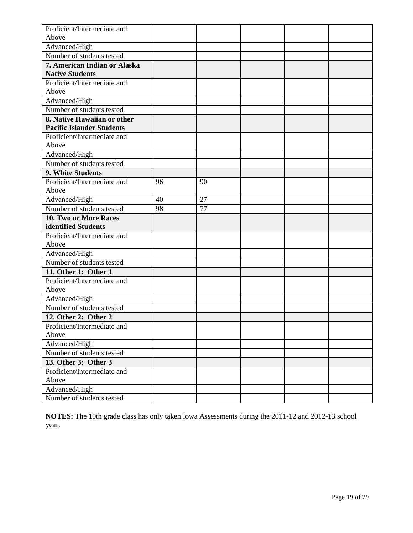| Proficient/Intermediate and                         |    |    |  |  |
|-----------------------------------------------------|----|----|--|--|
| Above                                               |    |    |  |  |
| Advanced/High                                       |    |    |  |  |
| Number of students tested                           |    |    |  |  |
| 7. American Indian or Alaska                        |    |    |  |  |
| <b>Native Students</b>                              |    |    |  |  |
| Proficient/Intermediate and                         |    |    |  |  |
| Above                                               |    |    |  |  |
| Advanced/High                                       |    |    |  |  |
| Number of students tested                           |    |    |  |  |
| 8. Native Hawaiian or other                         |    |    |  |  |
| <b>Pacific Islander Students</b>                    |    |    |  |  |
| Proficient/Intermediate and                         |    |    |  |  |
| Above                                               |    |    |  |  |
| Advanced/High                                       |    |    |  |  |
| Number of students tested                           |    |    |  |  |
| 9. White Students                                   |    |    |  |  |
| Proficient/Intermediate and                         | 96 | 90 |  |  |
| Above                                               |    |    |  |  |
| Advanced/High                                       | 40 | 27 |  |  |
| Number of students tested                           | 98 | 77 |  |  |
| 10. Two or More Races                               |    |    |  |  |
| identified Students                                 |    |    |  |  |
| Proficient/Intermediate and                         |    |    |  |  |
| Above                                               |    |    |  |  |
| Advanced/High                                       |    |    |  |  |
| Number of students tested                           |    |    |  |  |
| 11. Other 1: Other 1                                |    |    |  |  |
| Proficient/Intermediate and                         |    |    |  |  |
| Above                                               |    |    |  |  |
| Advanced/High<br>Number of students tested          |    |    |  |  |
|                                                     |    |    |  |  |
| 12. Other 2: Other 2                                |    |    |  |  |
| Proficient/Intermediate and<br>Above                |    |    |  |  |
| Advanced/High                                       |    |    |  |  |
| Number of students tested                           |    |    |  |  |
|                                                     |    |    |  |  |
| 13. Other 3: Other 3<br>Proficient/Intermediate and |    |    |  |  |
| Above                                               |    |    |  |  |
| Advanced/High                                       |    |    |  |  |
| Number of students tested                           |    |    |  |  |
|                                                     |    |    |  |  |

**NOTES:** The 10th grade class has only taken Iowa Assessments during the 2011-12 and 2012-13 school year.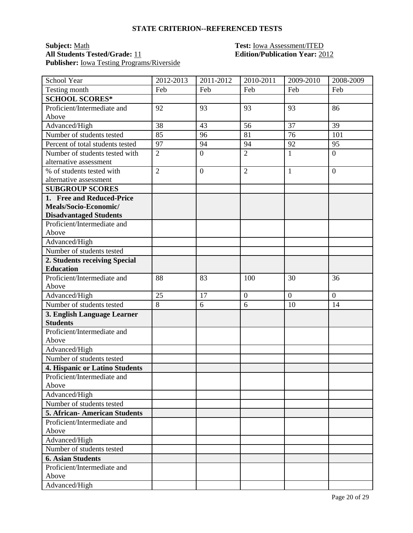#### **STATE CRITERION--REFERENCED TESTS**

### **Subject:** <u>Math **Test:** Iowa Assessment/ITED</u><br> **All Students Tested/Grade:** 11 **Test: Edition/Publication Year:** 20 **Publisher:** <u>Iowa Testing Programs/Riverside</u>

# **All Students Tested/Grade:** 11 **Edition/Publication Year:** 2012

| School Year                                    | 2012-2013      | 2011-2012      | 2010-2011        | 2009-2010      | 2008-2009      |
|------------------------------------------------|----------------|----------------|------------------|----------------|----------------|
| Testing month                                  | Feb            | Feb            | Feb              | Feb            | Feb            |
| <b>SCHOOL SCORES*</b>                          |                |                |                  |                |                |
| Proficient/Intermediate and                    | 92             | 93             | 93               | 93             | 86             |
| Above                                          |                |                |                  |                |                |
| Advanced/High                                  | 38             | 43             | 56               | 37             | 39             |
| Number of students tested                      | 85             | 96             | 81               | 76             | 101            |
| Percent of total students tested               | 97             | 94             | 94               | 92             | 95             |
| Number of students tested with                 | $\overline{2}$ | $\overline{0}$ | $\overline{2}$   | $\mathbf{1}$   | $\overline{0}$ |
| alternative assessment                         |                |                |                  |                |                |
| % of students tested with                      | $\overline{2}$ | $\overline{0}$ | $\overline{2}$   | $\mathbf{1}$   | $\overline{0}$ |
| alternative assessment                         |                |                |                  |                |                |
| <b>SUBGROUP SCORES</b>                         |                |                |                  |                |                |
| 1. Free and Reduced-Price                      |                |                |                  |                |                |
| Meals/Socio-Economic/                          |                |                |                  |                |                |
| <b>Disadvantaged Students</b>                  |                |                |                  |                |                |
| Proficient/Intermediate and                    |                |                |                  |                |                |
| Above                                          |                |                |                  |                |                |
| Advanced/High                                  |                |                |                  |                |                |
| Number of students tested                      |                |                |                  |                |                |
| 2. Students receiving Special                  |                |                |                  |                |                |
| <b>Education</b>                               |                |                |                  |                |                |
| Proficient/Intermediate and                    | 88             | 83             | 100              | 30             | 36             |
| Above                                          |                |                |                  |                |                |
| Advanced/High                                  | 25             | 17             | $\boldsymbol{0}$ | $\overline{0}$ | $\overline{0}$ |
| Number of students tested                      | 8              | 6              | 6                | 10             | 14             |
| 3. English Language Learner                    |                |                |                  |                |                |
| <b>Students</b><br>Proficient/Intermediate and |                |                |                  |                |                |
| Above                                          |                |                |                  |                |                |
| Advanced/High                                  |                |                |                  |                |                |
| Number of students tested                      |                |                |                  |                |                |
| 4. Hispanic or Latino Students                 |                |                |                  |                |                |
| Proficient/Intermediate and                    |                |                |                  |                |                |
| Above                                          |                |                |                  |                |                |
| Advanced/High                                  |                |                |                  |                |                |
| Number of students tested                      |                |                |                  |                |                |
| <b>5. African-American Students</b>            |                |                |                  |                |                |
| Proficient/Intermediate and                    |                |                |                  |                |                |
| Above                                          |                |                |                  |                |                |
| Advanced/High                                  |                |                |                  |                |                |
| Number of students tested                      |                |                |                  |                |                |
| <b>6. Asian Students</b>                       |                |                |                  |                |                |
| Proficient/Intermediate and                    |                |                |                  |                |                |
| Above                                          |                |                |                  |                |                |
| Advanced/High                                  |                |                |                  |                |                |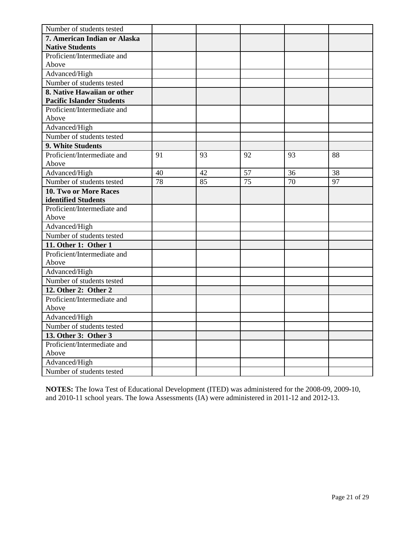| Number of students tested        |    |    |    |    |    |
|----------------------------------|----|----|----|----|----|
| 7. American Indian or Alaska     |    |    |    |    |    |
| <b>Native Students</b>           |    |    |    |    |    |
| Proficient/Intermediate and      |    |    |    |    |    |
| Above                            |    |    |    |    |    |
| Advanced/High                    |    |    |    |    |    |
| Number of students tested        |    |    |    |    |    |
| 8. Native Hawaiian or other      |    |    |    |    |    |
| <b>Pacific Islander Students</b> |    |    |    |    |    |
| Proficient/Intermediate and      |    |    |    |    |    |
| Above                            |    |    |    |    |    |
| Advanced/High                    |    |    |    |    |    |
| Number of students tested        |    |    |    |    |    |
| 9. White Students                |    |    |    |    |    |
| Proficient/Intermediate and      | 91 | 93 | 92 | 93 | 88 |
| Above                            |    |    |    |    |    |
| Advanced/High                    | 40 | 42 | 57 | 36 | 38 |
| Number of students tested        | 78 | 85 | 75 | 70 | 97 |
| 10. Two or More Races            |    |    |    |    |    |
| identified Students              |    |    |    |    |    |
| Proficient/Intermediate and      |    |    |    |    |    |
| Above                            |    |    |    |    |    |
| Advanced/High                    |    |    |    |    |    |
| Number of students tested        |    |    |    |    |    |
| 11. Other 1: Other 1             |    |    |    |    |    |
| Proficient/Intermediate and      |    |    |    |    |    |
| Above                            |    |    |    |    |    |
| Advanced/High                    |    |    |    |    |    |
| Number of students tested        |    |    |    |    |    |
| 12. Other 2: Other 2             |    |    |    |    |    |
| Proficient/Intermediate and      |    |    |    |    |    |
| Above                            |    |    |    |    |    |
| Advanced/High                    |    |    |    |    |    |
| Number of students tested        |    |    |    |    |    |
| 13. Other 3: Other 3             |    |    |    |    |    |
| Proficient/Intermediate and      |    |    |    |    |    |
| Above                            |    |    |    |    |    |
| Advanced/High                    |    |    |    |    |    |
| Number of students tested        |    |    |    |    |    |

**NOTES:** The Iowa Test of Educational Development (ITED) was administered for the 2008-09, 2009-10, and 2010-11 school years. The Iowa Assessments (IA) were administered in 2011-12 and 2012-13.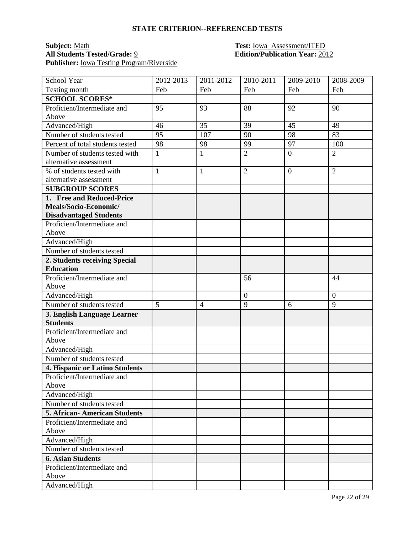#### **STATE CRITERION--REFERENCED TESTS**

### **Subject:** <u>Math **Test:** Iowa Assessment/ITED</u><br> **All Students Tested/Grade:** <u>9</u> **Test: Edition/Publication Year:** 20 **Publisher:** Iowa Testing Program/Riverside

# **All Students Tested/Grade:** 9 **Edition/Publication Year:** 2012

| School Year                                                  | 2012-2013    | 2011-2012      | 2010-2011      | 2009-2010      | 2008-2009      |
|--------------------------------------------------------------|--------------|----------------|----------------|----------------|----------------|
| Testing month                                                | Feb          | Feb            | Feb            | Feb            | Feb            |
| <b>SCHOOL SCORES*</b>                                        |              |                |                |                |                |
| Proficient/Intermediate and                                  | 95           | 93             | 88             | 92             | 90             |
| Above                                                        |              |                |                |                |                |
| Advanced/High                                                | 46           | 35             | 39             | 45             | 49             |
| Number of students tested                                    | 95           | 107            | 90             | 98             | 83             |
| Percent of total students tested                             | 98           | 98             | 99             | 97             | 100            |
| Number of students tested with                               | $\mathbf{1}$ | $\mathbf{1}$   | $\overline{2}$ | $\overline{0}$ | $\overline{2}$ |
| alternative assessment                                       |              |                |                |                |                |
| % of students tested with                                    | $\mathbf{1}$ | $\mathbf{1}$   | $\overline{2}$ | $\overline{0}$ | $\overline{2}$ |
| alternative assessment                                       |              |                |                |                |                |
| <b>SUBGROUP SCORES</b>                                       |              |                |                |                |                |
| 1. Free and Reduced-Price                                    |              |                |                |                |                |
| Meals/Socio-Economic/                                        |              |                |                |                |                |
| <b>Disadvantaged Students</b><br>Proficient/Intermediate and |              |                |                |                |                |
| Above                                                        |              |                |                |                |                |
| Advanced/High                                                |              |                |                |                |                |
| Number of students tested                                    |              |                |                |                |                |
| 2. Students receiving Special                                |              |                |                |                |                |
| <b>Education</b>                                             |              |                |                |                |                |
| Proficient/Intermediate and                                  |              |                | 56             |                | 44             |
| Above                                                        |              |                |                |                |                |
| Advanced/High                                                |              |                | $\overline{0}$ |                | $\overline{0}$ |
| Number of students tested                                    | 5            | $\overline{4}$ | 9              | 6              | 9              |
| 3. English Language Learner                                  |              |                |                |                |                |
| <b>Students</b>                                              |              |                |                |                |                |
| Proficient/Intermediate and                                  |              |                |                |                |                |
| Above                                                        |              |                |                |                |                |
| Advanced/High                                                |              |                |                |                |                |
| Number of students tested                                    |              |                |                |                |                |
| 4. Hispanic or Latino Students                               |              |                |                |                |                |
| Proficient/Intermediate and                                  |              |                |                |                |                |
| Above                                                        |              |                |                |                |                |
| Advanced/High                                                |              |                |                |                |                |
| Number of students tested                                    |              |                |                |                |                |
| <b>5. African-American Students</b>                          |              |                |                |                |                |
| Proficient/Intermediate and                                  |              |                |                |                |                |
| Above                                                        |              |                |                |                |                |
| Advanced/High                                                |              |                |                |                |                |
| Number of students tested                                    |              |                |                |                |                |
| <b>6. Asian Students</b>                                     |              |                |                |                |                |
| Proficient/Intermediate and                                  |              |                |                |                |                |
| Above                                                        |              |                |                |                |                |
| Advanced/High                                                |              |                |                |                |                |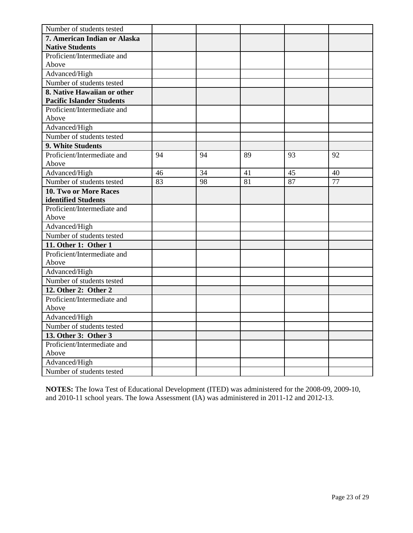| Number of students tested        |    |    |    |    |    |
|----------------------------------|----|----|----|----|----|
| 7. American Indian or Alaska     |    |    |    |    |    |
| <b>Native Students</b>           |    |    |    |    |    |
| Proficient/Intermediate and      |    |    |    |    |    |
| Above                            |    |    |    |    |    |
| Advanced/High                    |    |    |    |    |    |
| Number of students tested        |    |    |    |    |    |
| 8. Native Hawaiian or other      |    |    |    |    |    |
| <b>Pacific Islander Students</b> |    |    |    |    |    |
| Proficient/Intermediate and      |    |    |    |    |    |
| Above                            |    |    |    |    |    |
| Advanced/High                    |    |    |    |    |    |
| Number of students tested        |    |    |    |    |    |
| 9. White Students                |    |    |    |    |    |
| Proficient/Intermediate and      | 94 | 94 | 89 | 93 | 92 |
| Above                            |    |    |    |    |    |
| Advanced/High                    | 46 | 34 | 41 | 45 | 40 |
| Number of students tested        | 83 | 98 | 81 | 87 | 77 |
| 10. Two or More Races            |    |    |    |    |    |
| identified Students              |    |    |    |    |    |
| Proficient/Intermediate and      |    |    |    |    |    |
| Above                            |    |    |    |    |    |
| Advanced/High                    |    |    |    |    |    |
| Number of students tested        |    |    |    |    |    |
| 11. Other 1: Other 1             |    |    |    |    |    |
| Proficient/Intermediate and      |    |    |    |    |    |
| Above                            |    |    |    |    |    |
| Advanced/High                    |    |    |    |    |    |
| Number of students tested        |    |    |    |    |    |
| 12. Other 2: Other 2             |    |    |    |    |    |
| Proficient/Intermediate and      |    |    |    |    |    |
| Above                            |    |    |    |    |    |
| Advanced/High                    |    |    |    |    |    |
| Number of students tested        |    |    |    |    |    |
| 13. Other 3: Other 3             |    |    |    |    |    |
| Proficient/Intermediate and      |    |    |    |    |    |
| Above                            |    |    |    |    |    |
| Advanced/High                    |    |    |    |    |    |
| Number of students tested        |    |    |    |    |    |

**NOTES:** The Iowa Test of Educational Development (ITED) was administered for the 2008-09, 2009-10, and 2010-11 school years. The Iowa Assessment (IA) was administered in 2011-12 and 2012-13.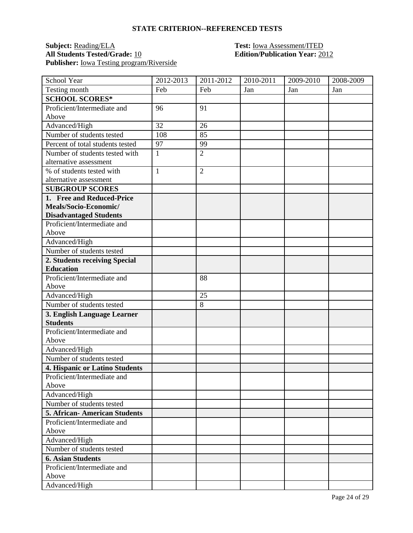#### **STATE CRITERION--REFERENCED TESTS**

### **Subject:** <u>Reading/ELA</u> **Test:** <u>Iowa Assessment/ITED</u><br>All Students Tested/Grade: <u>10</u> **Edition/Publication Year:** 20 Publisher: <u>Iowa Testing program/Riverside</u>

## **All Students Tested/Grade:** 10 **Edition/Publication Year:** 2012

| School Year                                | 2012-2013    | 2011-2012      | 2010-2011 | 2009-2010 | 2008-2009 |
|--------------------------------------------|--------------|----------------|-----------|-----------|-----------|
| Testing month                              | Feb          | Feb            | Jan       | Jan       | Jan       |
| <b>SCHOOL SCORES*</b>                      |              |                |           |           |           |
| Proficient/Intermediate and                | 96           | 91             |           |           |           |
| Above                                      |              |                |           |           |           |
| Advanced/High                              | 32           | 26             |           |           |           |
| Number of students tested                  | 108          | 85             |           |           |           |
| Percent of total students tested           | 97           | 99             |           |           |           |
| Number of students tested with             | $\mathbf{1}$ | $\overline{2}$ |           |           |           |
| alternative assessment                     |              |                |           |           |           |
| % of students tested with                  | $\mathbf{1}$ | $\overline{2}$ |           |           |           |
| alternative assessment                     |              |                |           |           |           |
| <b>SUBGROUP SCORES</b>                     |              |                |           |           |           |
| 1. Free and Reduced-Price                  |              |                |           |           |           |
| Meals/Socio-Economic/                      |              |                |           |           |           |
| <b>Disadvantaged Students</b>              |              |                |           |           |           |
| Proficient/Intermediate and                |              |                |           |           |           |
| Above                                      |              |                |           |           |           |
| Advanced/High                              |              |                |           |           |           |
| Number of students tested                  |              |                |           |           |           |
| 2. Students receiving Special              |              |                |           |           |           |
| <b>Education</b>                           |              |                |           |           |           |
| Proficient/Intermediate and                |              | 88             |           |           |           |
| Above                                      |              |                |           |           |           |
| Advanced/High                              |              | 25             |           |           |           |
| Number of students tested                  |              | 8              |           |           |           |
| 3. English Language Learner                |              |                |           |           |           |
| <b>Students</b>                            |              |                |           |           |           |
| Proficient/Intermediate and                |              |                |           |           |           |
| Above                                      |              |                |           |           |           |
| Advanced/High                              |              |                |           |           |           |
| Number of students tested                  |              |                |           |           |           |
| 4. Hispanic or Latino Students             |              |                |           |           |           |
| Proficient/Intermediate and                |              |                |           |           |           |
| Above                                      |              |                |           |           |           |
| Advanced/High                              |              |                |           |           |           |
| Number of students tested                  |              |                |           |           |           |
| <b>5. African-American Students</b>        |              |                |           |           |           |
| Proficient/Intermediate and<br>Above       |              |                |           |           |           |
|                                            |              |                |           |           |           |
| Advanced/High<br>Number of students tested |              |                |           |           |           |
|                                            |              |                |           |           |           |
| <b>6. Asian Students</b>                   |              |                |           |           |           |
| Proficient/Intermediate and                |              |                |           |           |           |
| Above                                      |              |                |           |           |           |
| Advanced/High                              |              |                |           |           |           |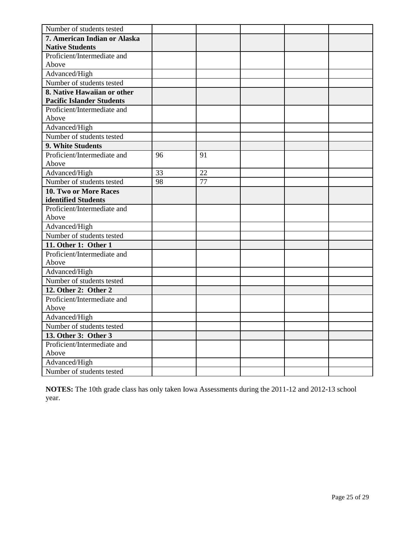| Number of students tested        |    |    |  |  |
|----------------------------------|----|----|--|--|
| 7. American Indian or Alaska     |    |    |  |  |
| <b>Native Students</b>           |    |    |  |  |
| Proficient/Intermediate and      |    |    |  |  |
| Above                            |    |    |  |  |
| Advanced/High                    |    |    |  |  |
| Number of students tested        |    |    |  |  |
| 8. Native Hawaiian or other      |    |    |  |  |
| <b>Pacific Islander Students</b> |    |    |  |  |
| Proficient/Intermediate and      |    |    |  |  |
| Above                            |    |    |  |  |
| Advanced/High                    |    |    |  |  |
| Number of students tested        |    |    |  |  |
| 9. White Students                |    |    |  |  |
| Proficient/Intermediate and      | 96 | 91 |  |  |
| Above                            |    |    |  |  |
| Advanced/High                    | 33 | 22 |  |  |
| Number of students tested        | 98 | 77 |  |  |
| 10. Two or More Races            |    |    |  |  |
| identified Students              |    |    |  |  |
| Proficient/Intermediate and      |    |    |  |  |
| Above                            |    |    |  |  |
| Advanced/High                    |    |    |  |  |
| Number of students tested        |    |    |  |  |
| 11. Other 1: Other 1             |    |    |  |  |
| Proficient/Intermediate and      |    |    |  |  |
| Above                            |    |    |  |  |
| Advanced/High                    |    |    |  |  |
| Number of students tested        |    |    |  |  |
| 12. Other 2: Other 2             |    |    |  |  |
| Proficient/Intermediate and      |    |    |  |  |
| Above                            |    |    |  |  |
| Advanced/High                    |    |    |  |  |
| Number of students tested        |    |    |  |  |
| 13. Other 3: Other 3             |    |    |  |  |
| Proficient/Intermediate and      |    |    |  |  |
| Above                            |    |    |  |  |
| Advanced/High                    |    |    |  |  |
| Number of students tested        |    |    |  |  |

**NOTES:** The 10th grade class has only taken Iowa Assessments during the 2011-12 and 2012-13 school year.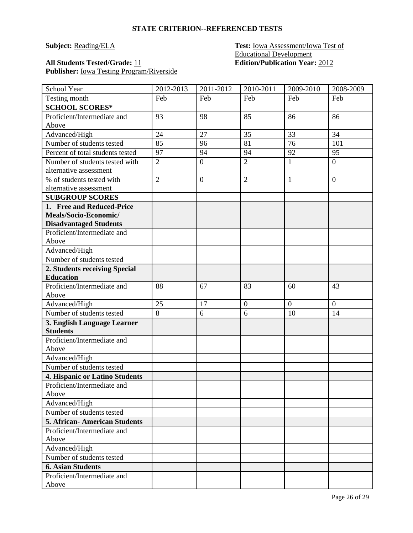#### **Subject:** Reading/ELA **Test: Iowa Assessment/Iowa Test of** Educational Development **All Students Tested/Grade:** 11 **Edition/Publication Year:** 2012

## **Publisher:** Iowa Testing Program/Riverside

| School Year                                    | 2012-2013      | 2011-2012        | 2010-2011      | $2009 - 2010$ | 2008-2009      |
|------------------------------------------------|----------------|------------------|----------------|---------------|----------------|
| Testing month                                  | Feb            | Feb              | Feb            | Feb           | Feb            |
| <b>SCHOOL SCORES*</b>                          |                |                  |                |               |                |
| Proficient/Intermediate and                    | 93             | 98               | 85             | 86            | 86             |
| Above                                          |                |                  |                |               |                |
| Advanced/High                                  | 24             | 27               | 35             | 33            | 34             |
| Number of students tested                      | 85             | 96               | 81             | 76            | 101            |
| Percent of total students tested               | 97             | 94               | 94             | 92            | 95             |
| Number of students tested with                 | $\overline{2}$ | $\overline{0}$   | $\overline{2}$ | $\mathbf{1}$  | $\mathbf{0}$   |
| alternative assessment                         |                |                  |                |               |                |
| % of students tested with                      | $\overline{2}$ | $\boldsymbol{0}$ | $\overline{2}$ | $\mathbf{1}$  | $\mathbf{0}$   |
| alternative assessment                         |                |                  |                |               |                |
| <b>SUBGROUP SCORES</b>                         |                |                  |                |               |                |
| 1. Free and Reduced-Price                      |                |                  |                |               |                |
| Meals/Socio-Economic/                          |                |                  |                |               |                |
| <b>Disadvantaged Students</b>                  |                |                  |                |               |                |
| Proficient/Intermediate and                    |                |                  |                |               |                |
| Above                                          |                |                  |                |               |                |
| Advanced/High                                  |                |                  |                |               |                |
| Number of students tested                      |                |                  |                |               |                |
| 2. Students receiving Special                  |                |                  |                |               |                |
| <b>Education</b>                               |                |                  |                |               |                |
| Proficient/Intermediate and                    | 88             | 67               | 83             | 60            | 43             |
| Above                                          |                |                  |                |               |                |
| Advanced/High                                  | 25             | 17               | $\overline{0}$ | $\mathbf{0}$  | $\overline{0}$ |
| Number of students tested                      | $\,8\,$        | 6                | 6              | 10            | 14             |
| 3. English Language Learner<br><b>Students</b> |                |                  |                |               |                |
| Proficient/Intermediate and                    |                |                  |                |               |                |
| Above                                          |                |                  |                |               |                |
| Advanced/High                                  |                |                  |                |               |                |
| Number of students tested                      |                |                  |                |               |                |
| 4. Hispanic or Latino Students                 |                |                  |                |               |                |
| Proficient/Intermediate and                    |                |                  |                |               |                |
| Above                                          |                |                  |                |               |                |
| Advanced/High                                  |                |                  |                |               |                |
| Number of students tested                      |                |                  |                |               |                |
| <b>5. African-American Students</b>            |                |                  |                |               |                |
| Proficient/Intermediate and                    |                |                  |                |               |                |
| Above                                          |                |                  |                |               |                |
| Advanced/High                                  |                |                  |                |               |                |
| Number of students tested                      |                |                  |                |               |                |
| <b>6. Asian Students</b>                       |                |                  |                |               |                |
| Proficient/Intermediate and                    |                |                  |                |               |                |
| Above                                          |                |                  |                |               |                |
|                                                |                |                  |                |               |                |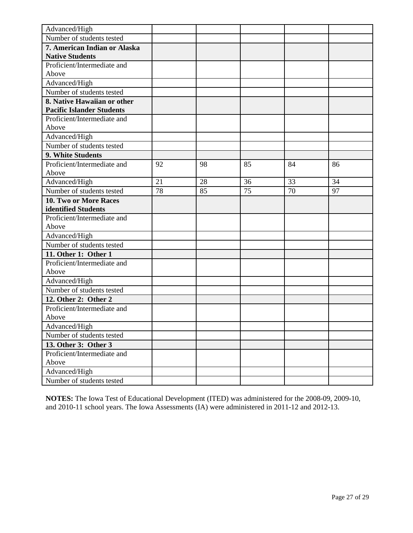| Advanced/High                                                   |    |    |    |    |    |
|-----------------------------------------------------------------|----|----|----|----|----|
| Number of students tested                                       |    |    |    |    |    |
| 7. American Indian or Alaska                                    |    |    |    |    |    |
| <b>Native Students</b>                                          |    |    |    |    |    |
| Proficient/Intermediate and                                     |    |    |    |    |    |
| Above                                                           |    |    |    |    |    |
| Advanced/High                                                   |    |    |    |    |    |
| Number of students tested                                       |    |    |    |    |    |
| 8. Native Hawaiian or other<br><b>Pacific Islander Students</b> |    |    |    |    |    |
| Proficient/Intermediate and                                     |    |    |    |    |    |
| Above                                                           |    |    |    |    |    |
| Advanced/High                                                   |    |    |    |    |    |
| Number of students tested                                       |    |    |    |    |    |
| 9. White Students                                               |    |    |    |    |    |
| Proficient/Intermediate and                                     | 92 | 98 | 85 | 84 | 86 |
| Above                                                           |    |    |    |    |    |
| Advanced/High                                                   | 21 | 28 | 36 | 33 | 34 |
| Number of students tested                                       | 78 | 85 | 75 | 70 | 97 |
| 10. Two or More Races                                           |    |    |    |    |    |
| identified Students                                             |    |    |    |    |    |
| Proficient/Intermediate and                                     |    |    |    |    |    |
| Above                                                           |    |    |    |    |    |
| Advanced/High                                                   |    |    |    |    |    |
| Number of students tested                                       |    |    |    |    |    |
| 11. Other 1: Other 1                                            |    |    |    |    |    |
| Proficient/Intermediate and                                     |    |    |    |    |    |
| Above                                                           |    |    |    |    |    |
| Advanced/High                                                   |    |    |    |    |    |
| Number of students tested                                       |    |    |    |    |    |
| 12. Other 2: Other 2                                            |    |    |    |    |    |
| Proficient/Intermediate and                                     |    |    |    |    |    |
| Above                                                           |    |    |    |    |    |
| Advanced/High                                                   |    |    |    |    |    |
| Number of students tested                                       |    |    |    |    |    |
| 13. Other 3: Other 3                                            |    |    |    |    |    |
| Proficient/Intermediate and<br>Above                            |    |    |    |    |    |
|                                                                 |    |    |    |    |    |
| Advanced/High                                                   |    |    |    |    |    |
| Number of students tested                                       |    |    |    |    |    |

**NOTES:** The Iowa Test of Educational Development (ITED) was administered for the 2008-09, 2009-10, and 2010-11 school years. The Iowa Assessments (IA) were administered in 2011-12 and 2012-13.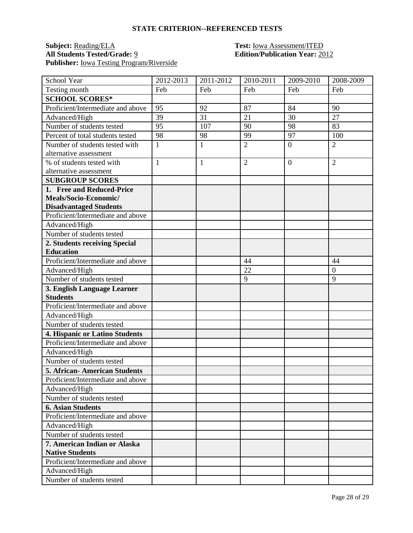#### **STATE CRITERION--REFERENCED TESTS**

### **Subject:** <u>Reading/ELA</u> **Test:** <u>Iowa Assessment/ITED</u><br> **All Students Tested/Grade:** <u>9</u> **Edition/Publication Year:** 20 **Publisher:** Iowa Testing Program/Riverside

# **All Students Tested/Grade:** 9 **Edition/Publication Year:** 2012

| School Year                                            | 2012-2013    | 2011-2012    | 2010-2011      | 2009-2010        | 2008-2009      |
|--------------------------------------------------------|--------------|--------------|----------------|------------------|----------------|
| Testing month                                          | Feb          | Feb          | Feb            | Feb              | Feb            |
| <b>SCHOOL SCORES*</b>                                  |              |              |                |                  |                |
| Proficient/Intermediate and above                      | 95           | 92           | 87             | 84               | 90             |
| Advanced/High                                          | 39           | 31           | 21             | 30               | 27             |
| Number of students tested                              | 95           | 107          | 90             | 98               | 83             |
| Percent of total students tested                       | 98           | 98           | 99             | 97               | 100            |
| Number of students tested with                         | $\mathbf{1}$ | $\mathbf{1}$ | $\overline{2}$ | $\boldsymbol{0}$ | $\overline{2}$ |
| alternative assessment                                 |              |              |                |                  |                |
| % of students tested with                              | $\mathbf{1}$ | $\mathbf{1}$ | $\overline{2}$ | $\overline{0}$   | $\overline{2}$ |
| alternative assessment                                 |              |              |                |                  |                |
| <b>SUBGROUP SCORES</b>                                 |              |              |                |                  |                |
| 1. Free and Reduced-Price                              |              |              |                |                  |                |
| Meals/Socio-Economic/                                  |              |              |                |                  |                |
| <b>Disadvantaged Students</b>                          |              |              |                |                  |                |
| Proficient/Intermediate and above                      |              |              |                |                  |                |
| Advanced/High                                          |              |              |                |                  |                |
| Number of students tested                              |              |              |                |                  |                |
| 2. Students receiving Special                          |              |              |                |                  |                |
| <b>Education</b>                                       |              |              |                |                  |                |
| Proficient/Intermediate and above                      |              |              | 44             |                  | 44             |
| Advanced/High                                          |              |              | 22             |                  | $\theta$       |
| Number of students tested                              |              |              | 9              |                  | 9              |
| 3. English Language Learner                            |              |              |                |                  |                |
| <b>Students</b>                                        |              |              |                |                  |                |
| Proficient/Intermediate and above                      |              |              |                |                  |                |
| Advanced/High                                          |              |              |                |                  |                |
| Number of students tested                              |              |              |                |                  |                |
| 4. Hispanic or Latino Students                         |              |              |                |                  |                |
| Proficient/Intermediate and above                      |              |              |                |                  |                |
| Advanced/High                                          |              |              |                |                  |                |
| Number of students tested                              |              |              |                |                  |                |
| <b>5. African- American Students</b>                   |              |              |                |                  |                |
| Proficient/Intermediate and above                      |              |              |                |                  |                |
| Advanced/High                                          |              |              |                |                  |                |
| Number of students tested                              |              |              |                |                  |                |
| <b>6. Asian Students</b>                               |              |              |                |                  |                |
| Proficient/Intermediate and above                      |              |              |                |                  |                |
| Advanced/High                                          |              |              |                |                  |                |
| Number of students tested                              |              |              |                |                  |                |
| 7. American Indian or Alaska<br><b>Native Students</b> |              |              |                |                  |                |
| Proficient/Intermediate and above                      |              |              |                |                  |                |
| Advanced/High                                          |              |              |                |                  |                |
| Number of students tested                              |              |              |                |                  |                |